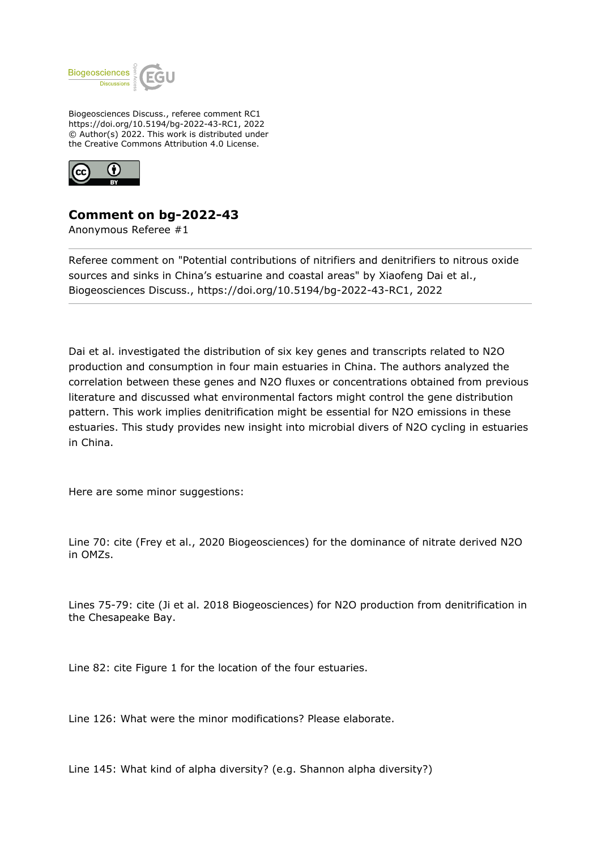

Biogeosciences Discuss., referee comment RC1 https://doi.org/10.5194/bg-2022-43-RC1, 2022 © Author(s) 2022. This work is distributed under the Creative Commons Attribution 4.0 License.



## **Comment on bg-2022-43**

Anonymous Referee #1

Referee comment on "Potential contributions of nitrifiers and denitrifiers to nitrous oxide sources and sinks in China's estuarine and coastal areas" by Xiaofeng Dai et al., Biogeosciences Discuss., https://doi.org/10.5194/bg-2022-43-RC1, 2022

Dai et al. investigated the distribution of six key genes and transcripts related to N2O production and consumption in four main estuaries in China. The authors analyzed the correlation between these genes and N2O fluxes or concentrations obtained from previous literature and discussed what environmental factors might control the gene distribution pattern. This work implies denitrification might be essential for N2O emissions in these estuaries. This study provides new insight into microbial divers of N2O cycling in estuaries in China.

Here are some minor suggestions:

Line 70: cite (Frey et al., 2020 Biogeosciences) for the dominance of nitrate derived N2O in OMZs.

Lines 75-79: cite (Ji et al. 2018 Biogeosciences) for N2O production from denitrification in the Chesapeake Bay.

Line 82: cite Figure 1 for the location of the four estuaries.

Line 126: What were the minor modifications? Please elaborate.

Line 145: What kind of alpha diversity? (e.g. Shannon alpha diversity?)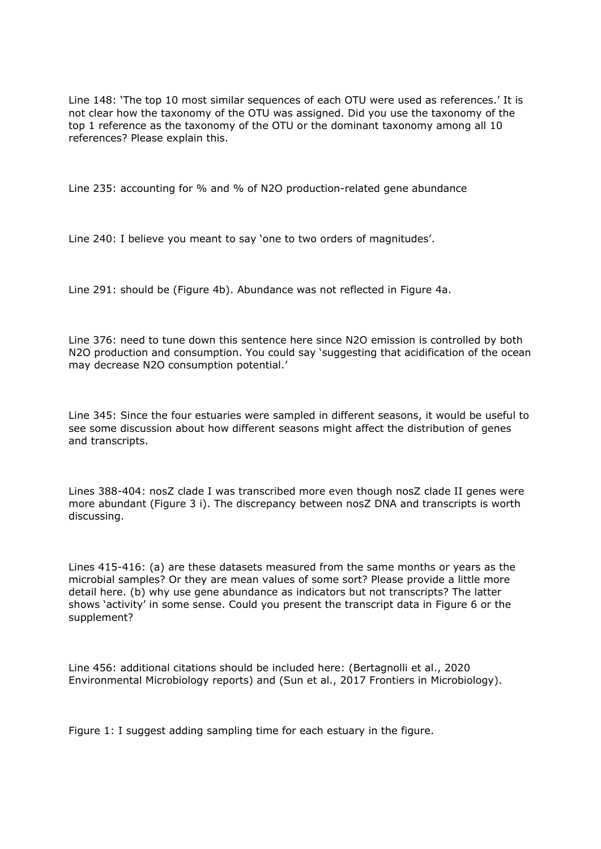Line 148: 'The top 10 most similar sequences of each OTU were used as references.' It is not clear how the taxonomy of the OTU was assigned. Did you use the taxonomy of the top 1 reference as the taxonomy of the OTU or the dominant taxonomy among all 10 references? Please explain this.

Line 235: accounting for % and % of N2O production-related gene abundance

Line 240: I believe you meant to say 'one to two orders of magnitudes'.

Line 291: should be (Figure 4b). Abundance was not reflected in Figure 4a.

Line 376: need to tune down this sentence here since N2O emission is controlled by both N2O production and consumption. You could say 'suggesting that acidification of the ocean may decrease N2O consumption potential.'

Line 345: Since the four estuaries were sampled in different seasons, it would be useful to see some discussion about how different seasons might affect the distribution of genes and transcripts.

Lines 388-404: nosZ clade I was transcribed more even though nosZ clade II genes were more abundant (Figure 3 i). The discrepancy between nosZ DNA and transcripts is worth discussing.

Lines 415-416: (a) are these datasets measured from the same months or years as the microbial samples? Or they are mean values of some sort? Please provide a little more detail here. (b) why use gene abundance as indicators but not transcripts? The latter shows 'activity' in some sense. Could you present the transcript data in Figure 6 or the supplement?

Line 456: additional citations should be included here: (Bertagnolli et al., 2020 Environmental Microbiology reports) and (Sun et al., 2017 Frontiers in Microbiology).

Figure 1: I suggest adding sampling time for each estuary in the figure.